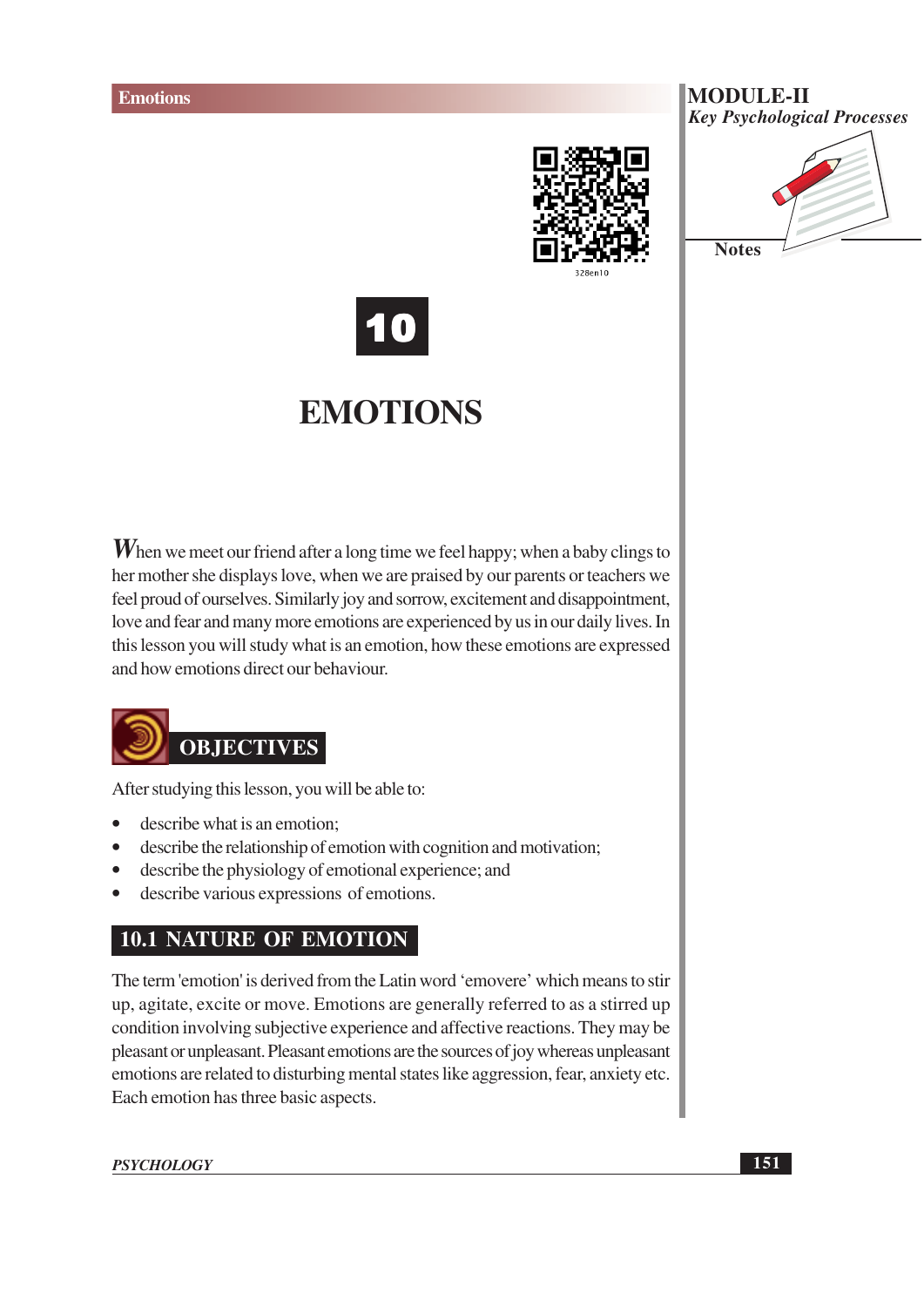







## **EMOTIONS**

**W** hen we meet our friend after a long time we feel happy; when a baby clings to her mother she displays love, when we are praised by our parents or teachers we feel proud of ourselves. Similarly joy and sorrow, excitement and disappointment, love and fear and many more emotions are experienced by us in our daily lives. In this lesson you will study what is an emotion, how these emotions are expressed and how emotions direct our behaviour.



After studying this lesson, you will be able to:

- describe what is an emotion;
- describe the relationship of emotion with cognition and motivation;  $\bullet$
- describe the physiology of emotional experience; and  $\bullet$
- describe various expressions of emotions.

#### **10.1 NATURE OF EMOTION**

The term 'emotion' is derived from the Latin word 'emovere' which means to stir up, agitate, excite or move. Emotions are generally referred to as a stirred up condition involving subjective experience and affective reactions. They may be pleasant or unpleasant. Pleasant emotions are the sources of joy whereas unpleasant emotions are related to disturbing mental states like aggression, fear, anxiety etc. Each emotion has three basic aspects.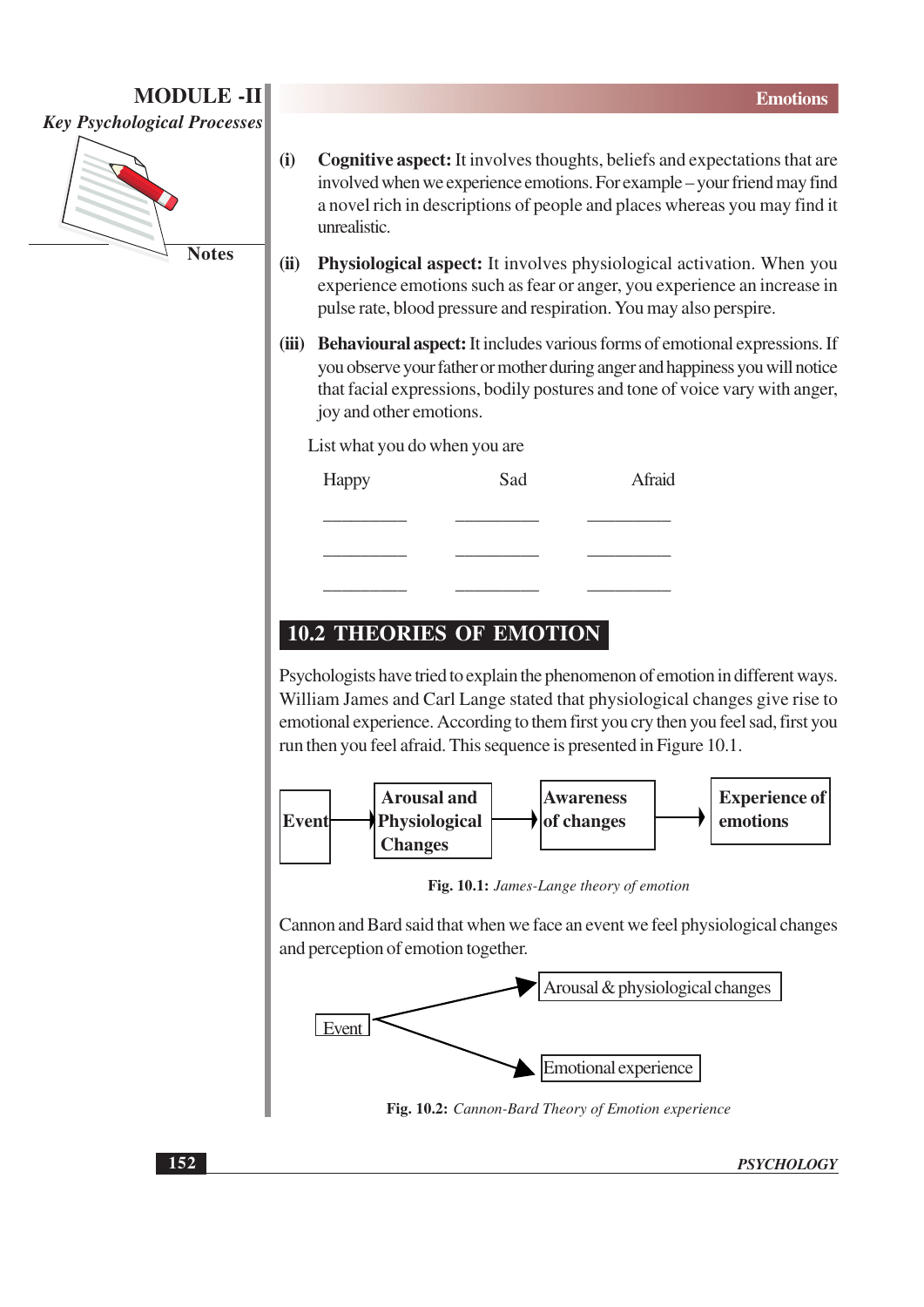

- $(i)$ **Cognitive aspect:** It involves thoughts, beliefs and expectations that are involved when we experience emotions. For example – your friend may find a novel rich in descriptions of people and places whereas you may find it unrealistic.
- (ii) Physiological aspect: It involves physiological activation. When you experience emotions such as fear or anger, you experience an increase in pulse rate, blood pressure and respiration. You may also perspire.
- (iii) Behavioural aspect: It includes various forms of emotional expressions. If you observe your father or mother during anger and happiness you will notice that facial expressions, bodily postures and tone of voice vary with anger, joy and other emotions.

List what you do when you are

| Happy | Sad | Afraid |
|-------|-----|--------|
|       |     |        |
|       |     |        |
|       |     |        |

#### **10.2 THEORIES OF EMOTION**

Psychologists have tried to explain the phenomenon of emotion in different ways. William James and Carl Lange stated that physiological changes give rise to emotional experience. According to them first you cry then you feel sad, first you run then you feel afraid. This sequence is presented in Figure 10.1.



Fig. 10.1: James-Lange theory of emotion

Cannon and Bard said that when we face an event we feel physiological changes and perception of emotion together.



Fig. 10.2: Cannon-Bard Theory of Emotion experience

**PSYCHOLOGY**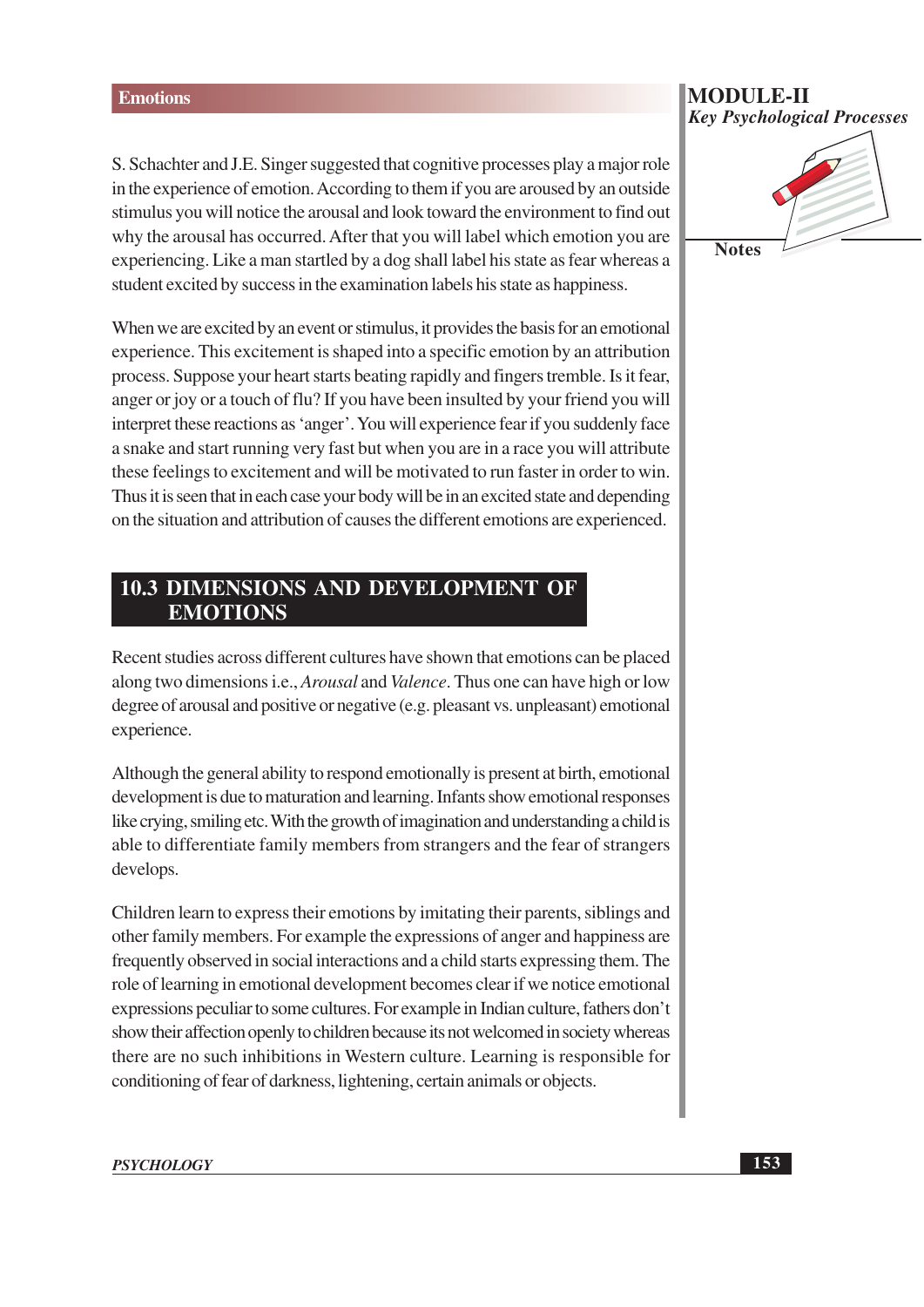S. Schachter and J.E. Singer suggested that cognitive processes play a major role in the experience of emotion. According to them if you are aroused by an outside stimulus you will notice the arousal and look toward the environment to find out why the arousal has occurred. After that you will label which emotion you are experiencing. Like a man startled by a dog shall label his state as fear whereas a student excited by success in the examination labels his state as happiness.

When we are excited by an event or stimulus, it provides the basis for an emotional experience. This excitement is shaped into a specific emotion by an attribution process. Suppose your heart starts beating rapidly and fingers tremble. Is it fear, anger or joy or a touch of flu? If you have been insulted by your friend you will interpret these reactions as 'anger'. You will experience fear if you suddenly face a snake and start running very fast but when you are in a race you will attribute these feelings to excitement and will be motivated to run faster in order to win. Thus it is seen that in each case your body will be in an excited state and depending on the situation and attribution of causes the different emotions are experienced.

#### **10.3 DIMENSIONS AND DEVELOPMENT OF EMOTIONS**

Recent studies across different cultures have shown that emotions can be placed along two dimensions *i.e., Arousal* and *Valence*. Thus one can have high or low degree of arousal and positive or negative (e.g. pleasant vs. unpleasant) emotional experience.

Although the general ability to respond emotionally is present at birth, emotional development is due to maturation and learning. Infants show emotional responses like crying, smiling etc. With the growth of imagination and understanding a child is able to differentiate family members from strangers and the fear of strangers develops.

Children learn to express their emotions by imitating their parents, siblings and other family members. For example the expressions of anger and happiness are frequently observed in social interactions and a child starts expressing them. The role of learning in emotional development becomes clear if we notice emotional expressions peculiar to some cultures. For example in Indian culture, fathers don't show their affection openly to children because its not welcomed in society whereas there are no such inhibitions in Western culture. Learning is responsible for conditioning of fear of darkness, lightening, certain animals or objects.

# **Key Psychological Processes Notes**

**MODULE-II**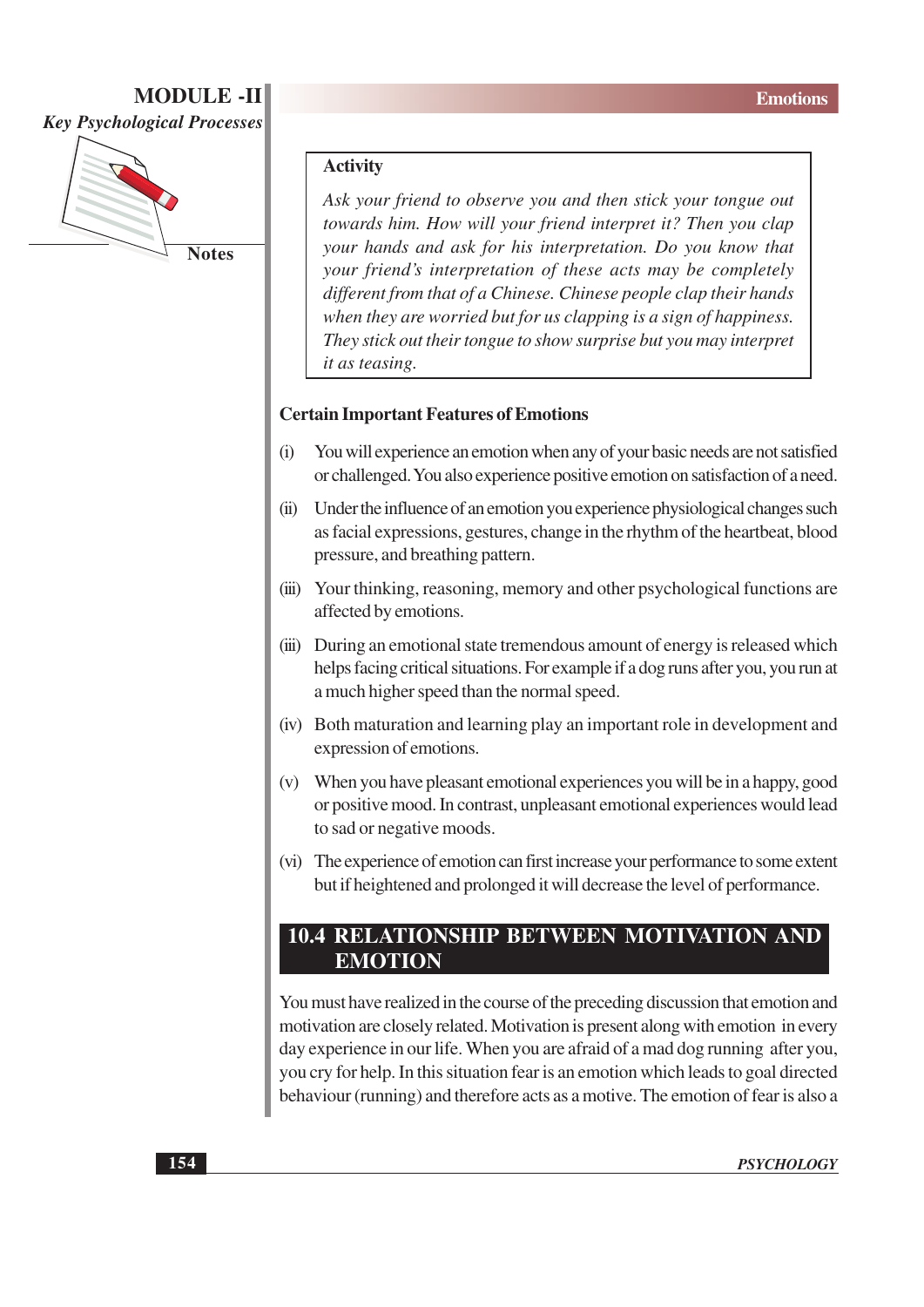

#### **Activity**

Ask your friend to observe you and then stick your tongue out towards him. How will your friend interpret it? Then you clap your hands and ask for his interpretation. Do you know that your friend's interpretation of these acts may be completely different from that of a Chinese. Chinese people clap their hands when they are worried but for us clapping is a sign of happiness. They stick out their tongue to show surprise but you may interpret it as teasing.

#### **Certain Important Features of Emotions**

- You will experience an emotion when any of your basic needs are not satisfied  $(i)$ or challenged. You also experience positive emotion on satisfaction of a need.
- $(ii)$ Under the influence of an emotion you experience physiological changes such as facial expressions, gestures, change in the rhythm of the heartbeat, blood pressure, and breathing pattern.
- (iii) Your thinking, reasoning, memory and other psychological functions are affected by emotions.
- (iii) During an emotional state tremendous amount of energy is released which helps facing critical situations. For example if a dog runs after you, you run at a much higher speed than the normal speed.
- (iv) Both maturation and learning play an important role in development and expression of emotions.
- (v) When you have pleasant emotional experiences you will be in a happy, good or positive mood. In contrast, unpleasant emotional experiences would lead to sad or negative moods.
- (vi) The experience of emotion can first increase your performance to some extent but if heightened and prolonged it will decrease the level of performance.

#### **10.4 RELATIONSHIP BETWEEN MOTIVATION AND EMOTION**

You must have realized in the course of the preceding discussion that emotion and motivation are closely related. Motivation is present along with emotion in every day experience in our life. When you are afraid of a mad dog running after you, you cry for help. In this situation fear is an emotion which leads to goal directed behaviour (running) and therefore acts as a motive. The emotion of fear is also a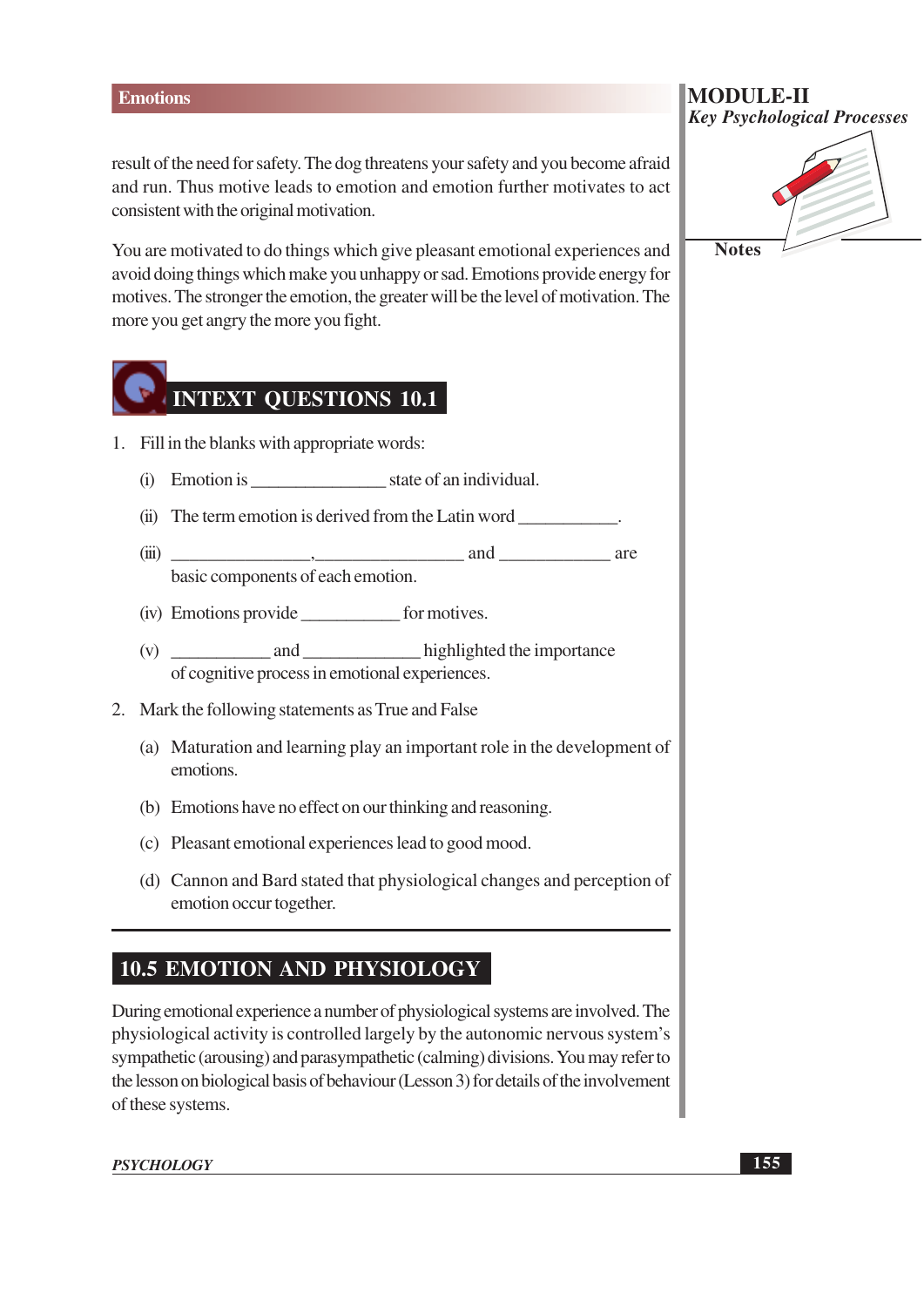#### **Emotions**

result of the need for safety. The dog threatens your safety and you become afraid and run. Thus motive leads to emotion and emotion further motivates to act consistent with the original motivation.

You are motivated to do things which give pleasant emotional experiences and avoid doing things which make you unhappy or sad. Emotions provide energy for motives. The stronger the emotion, the greater will be the level of motivation. The more you get angry the more you fight.

## **INTEXT QUESTIONS 10.1**

- 1. Fill in the blanks with appropriate words:
	- (i) Emotion is state of an individual.
	- (ii) The term emotion is derived from the Latin word
	- and and are  $(iii)$ basic components of each emotion.
	- (iv) Emotions provide \_\_\_\_\_\_\_\_\_\_\_\_\_\_\_\_\_\_ for motives.
	- of cognitive process in emotional experiences.
- 2. Mark the following statements as True and False
	- (a) Maturation and learning play an important role in the development of emotions.
	- (b) Emotions have no effect on our thinking and reasoning.
	- (c) Pleasant emotional experiences lead to good mood.
	- (d) Cannon and Bard stated that physiological changes and perception of emotion occur together.

#### **10.5 EMOTION AND PHYSIOLOGY**

During emotional experience a number of physiological systems are involved. The physiological activity is controlled largely by the autonomic nervous system's sympathetic (arousing) and parasympathetic (calming) divisions. You may refer to the lesson on biological basis of behaviour (Lesson 3) for details of the involvement of these systems.

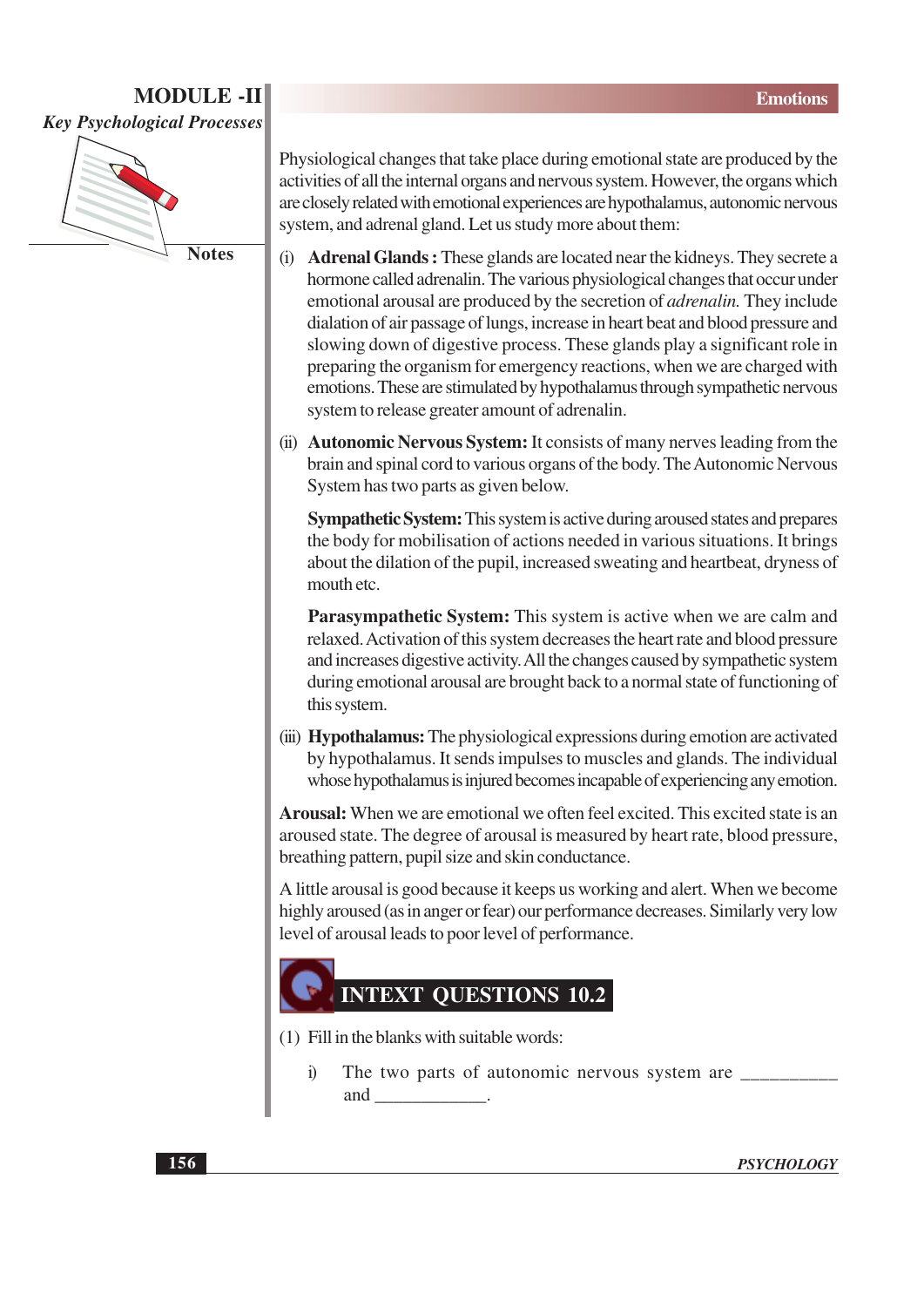

**Notes** 

Physiological changes that take place during emotional state are produced by the activities of all the internal organs and nervous system. However, the organs which are closely related with emotional experiences are hypothalamus, autonomic nervous system, and adrenal gland. Let us study more about them:

- **Adrenal Glands:** These glands are located near the kidneys. They secrete a  $(i)$ hormone called adrenalin. The various physiological changes that occur under emotional arousal are produced by the secretion of *adrenalin*. They include dialation of air passage of lungs, increase in heart beat and blood pressure and slowing down of digestive process. These glands play a significant role in preparing the organism for emergency reactions, when we are charged with emotions. These are stimulated by hypothalamus through sympathetic nervous system to release greater amount of adrenalin.
- (ii) **Autonomic Nervous System:** It consists of many nerves leading from the brain and spinal cord to various organs of the body. The Autonomic Nervous System has two parts as given below.

**Sympathetic System:** This system is active during aroused states and prepares the body for mobilisation of actions needed in various situations. It brings about the dilation of the pupil, increased sweating and heartbeat, dryness of mouth etc.

**Parasympathetic System:** This system is active when we are calm and relaxed. Activation of this system decreases the heart rate and blood pressure and increases digestive activity. All the changes caused by sympathetic system during emotional arousal are brought back to a normal state of functioning of this system.

(iii) Hypothalamus: The physiological expressions during emotion are activated by hypothalamus. It sends impulses to muscles and glands. The individual whose hypothalamus is injured becomes incapable of experiencing any emotion.

Arousal: When we are emotional we often feel excited. This excited state is an aroused state. The degree of arousal is measured by heart rate, blood pressure, breathing pattern, pupil size and skin conductance.

A little arousal is good because it keeps us working and alert. When we become highly aroused (as in anger or fear) our performance decreases. Similarly very low level of arousal leads to poor level of performance.

#### **INTEXT OUESTIONS 10.2**

(1) Fill in the blanks with suitable words:

i) The two parts of autonomic nervous system are \_\_\_\_\_ and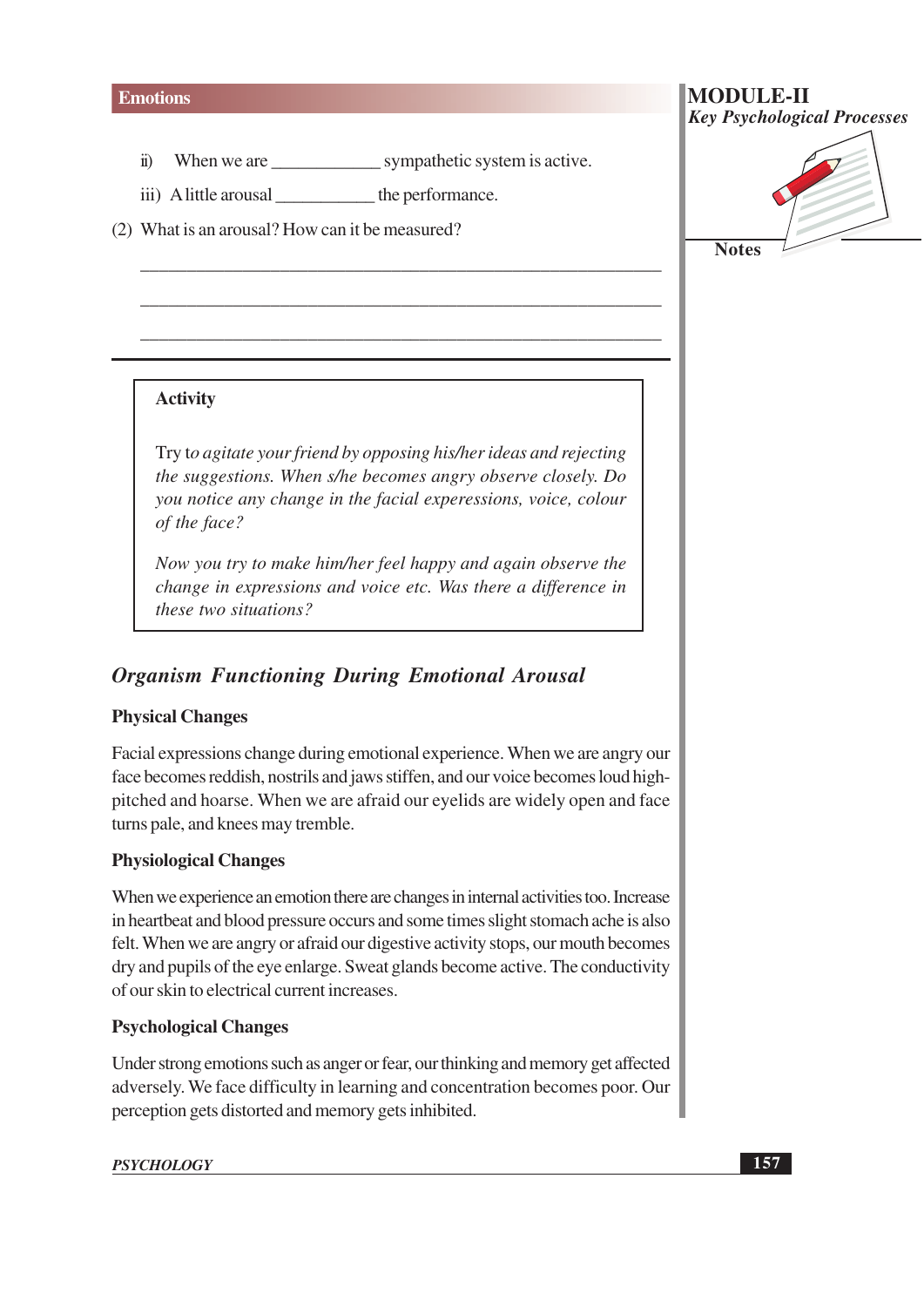- When we are sympathetic system is active.  $\ddot{\mathbf{n}}$
- iii) A little arousal \_\_\_\_\_\_\_\_\_\_\_\_\_ the performance.

(2) What is an arousal? How can it be measured?

# **Notes**

**Key Psychological Processes** 

**MODULE-II** 

#### **Activity**

Try to agitate your friend by opposing his/her ideas and rejecting the suggestions. When s/he becomes angry observe closely. Do you notice any change in the facial experessions, voice, colour of the face?

Now you try to make him/her feel happy and again observe the change in expressions and voice etc. Was there a difference in *these two situations?* 

#### **Organism Functioning During Emotional Arousal**

#### **Physical Changes**

Facial expressions change during emotional experience. When we are angry our face becomes reddish, nostrils and jaws stiffen, and our voice becomes loud highpitched and hoarse. When we are afraid our eyelids are widely open and face turns pale, and knees may tremble.

#### **Physiological Changes**

When we experience an emotion there are changes in internal activities too. Increase in heartbeat and blood pressure occurs and some times slight stomach ache is also felt. When we are angry or afraid our digestive activity stops, our mouth becomes dry and pupils of the eye enlarge. Sweat glands become active. The conductivity of our skin to electrical current increases.

#### **Psychological Changes**

Under strong emotions such as anger or fear, our thinking and memory get affected adversely. We face difficulty in learning and concentration becomes poor. Our perception gets distorted and memory gets inhibited.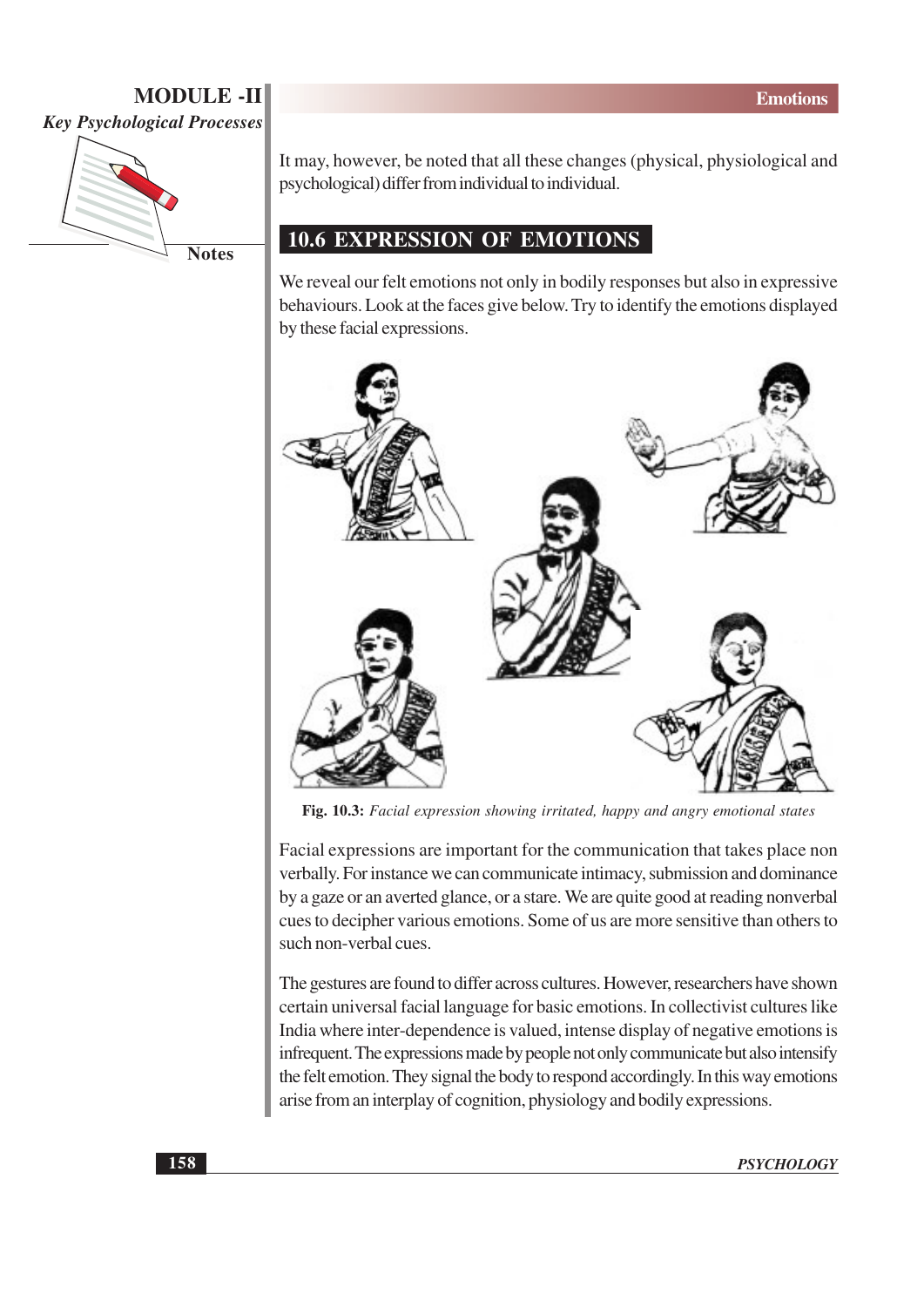

**Notes** 

It may, however, be noted that all these changes (physical, physiological and psychological) differ from individual to individual.

#### **10.6 EXPRESSION OF EMOTIONS**

We reveal our felt emotions not only in bodily responses but also in expressive behaviours. Look at the faces give below. Try to identify the emotions displayed by these facial expressions.



Fig. 10.3: Facial expression showing irritated, happy and angry emotional states

Facial expressions are important for the communication that takes place non verbally. For instance we can communicate intimacy, submission and dominance by a gaze or an averted glance, or a stare. We are quite good at reading nonverbal cues to decipher various emotions. Some of us are more sensitive than others to such non-verbal cues.

The gestures are found to differ across cultures. However, researchers have shown certain universal facial language for basic emotions. In collectivist cultures like India where inter-dependence is valued, intense display of negative emotions is infrequent. The expressions made by people not only communicate but also intensify the felt emotion. They signal the body to respond accordingly. In this way emotions arise from an interplay of cognition, physiology and bodily expressions.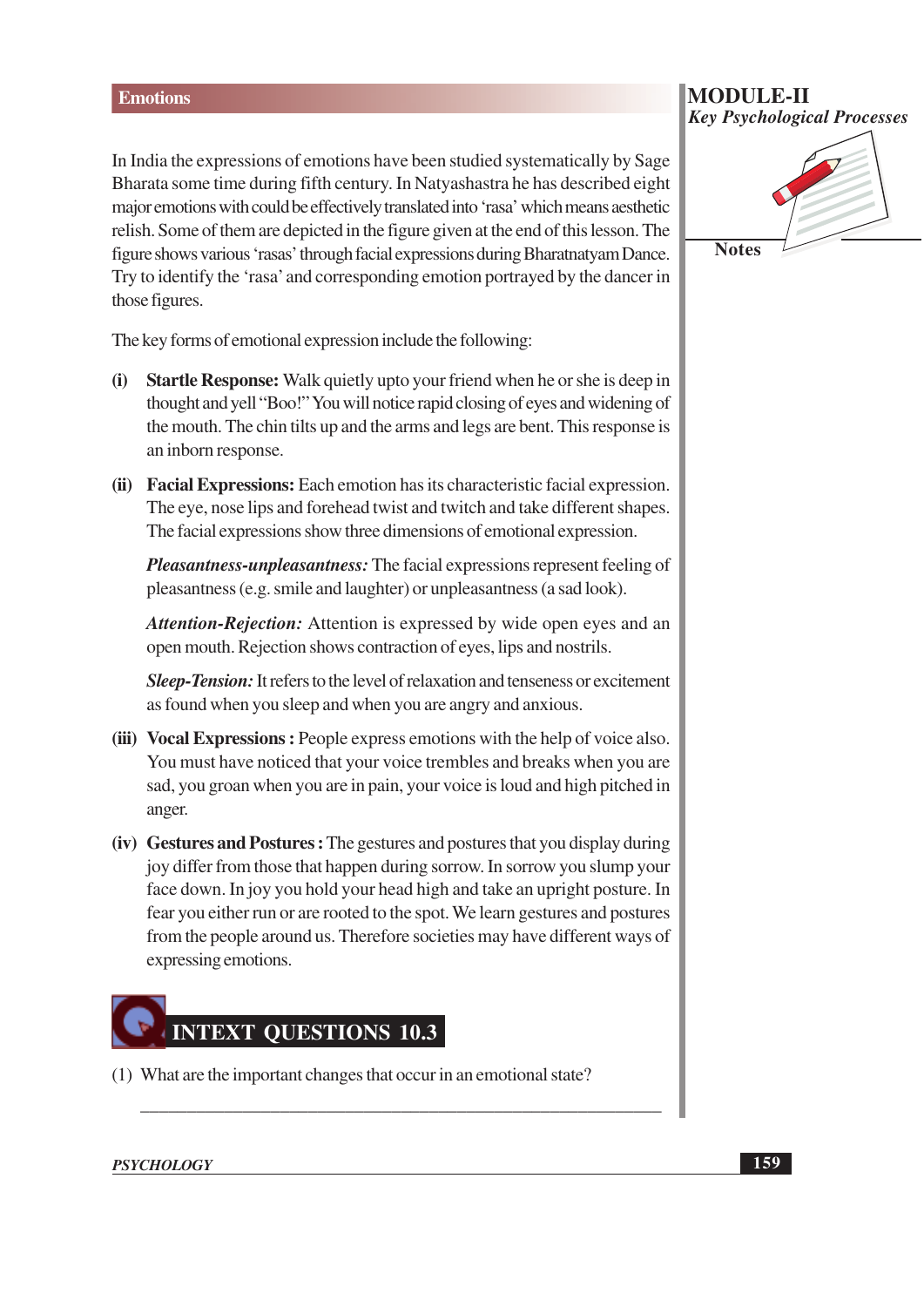In India the expressions of emotions have been studied systematically by Sage Bharata some time during fifth century. In Natyashastra he has described eight major emotions with could be effectively translated into 'rasa' which means aesthetic relish. Some of them are depicted in the figure given at the end of this lesson. The figure shows various 'rasas' through facial expressions during Bharatnatyam Dance. Try to identify the 'rasa' and corresponding emotion portrayed by the dancer in those figures.

The key forms of emotional expression include the following:

- Startle Response: Walk quietly upto your friend when he or she is deep in  $(i)$ thought and yell "Boo!" You will notice rapid closing of eyes and widening of the mouth. The chin tilts up and the arms and legs are bent. This response is an inborn response.
- (ii) Facial Expressions: Each emotion has its characteristic facial expression. The eye, nose lips and forehead twist and twitch and take different shapes. The facial expressions show three dimensions of emotional expression.

*Pleasantness-unpleasantness:* The facial expressions represent feeling of pleasantness (e.g. smile and laughter) or unpleasantness (a sad look).

Attention-Rejection: Attention is expressed by wide open eyes and an open mouth. Rejection shows contraction of eyes, lips and nostrils.

**Sleep-Tension:** It refers to the level of relaxation and tenseness or excitement as found when you sleep and when you are angry and anxious.

- (iii) Vocal Expressions: People express emotions with the help of voice also. You must have noticed that your voice trembles and breaks when you are sad, you groan when you are in pain, your voice is loud and high pitched in anger.
- **(iv)** Gestures and Postures: The gestures and postures that you display during joy differ from those that happen during sorrow. In sorrow you slump your face down. In joy you hold your head high and take an upright posture. In fear you either run or are rooted to the spot. We learn gestures and postures from the people around us. Therefore societies may have different ways of expressing emotions.

## **INTEXT QUESTIONS 10.3**

(1) What are the important changes that occur in an emotional state?

#### **MODULE-II Key Psychological Processes**



**PSYCHOLOGY**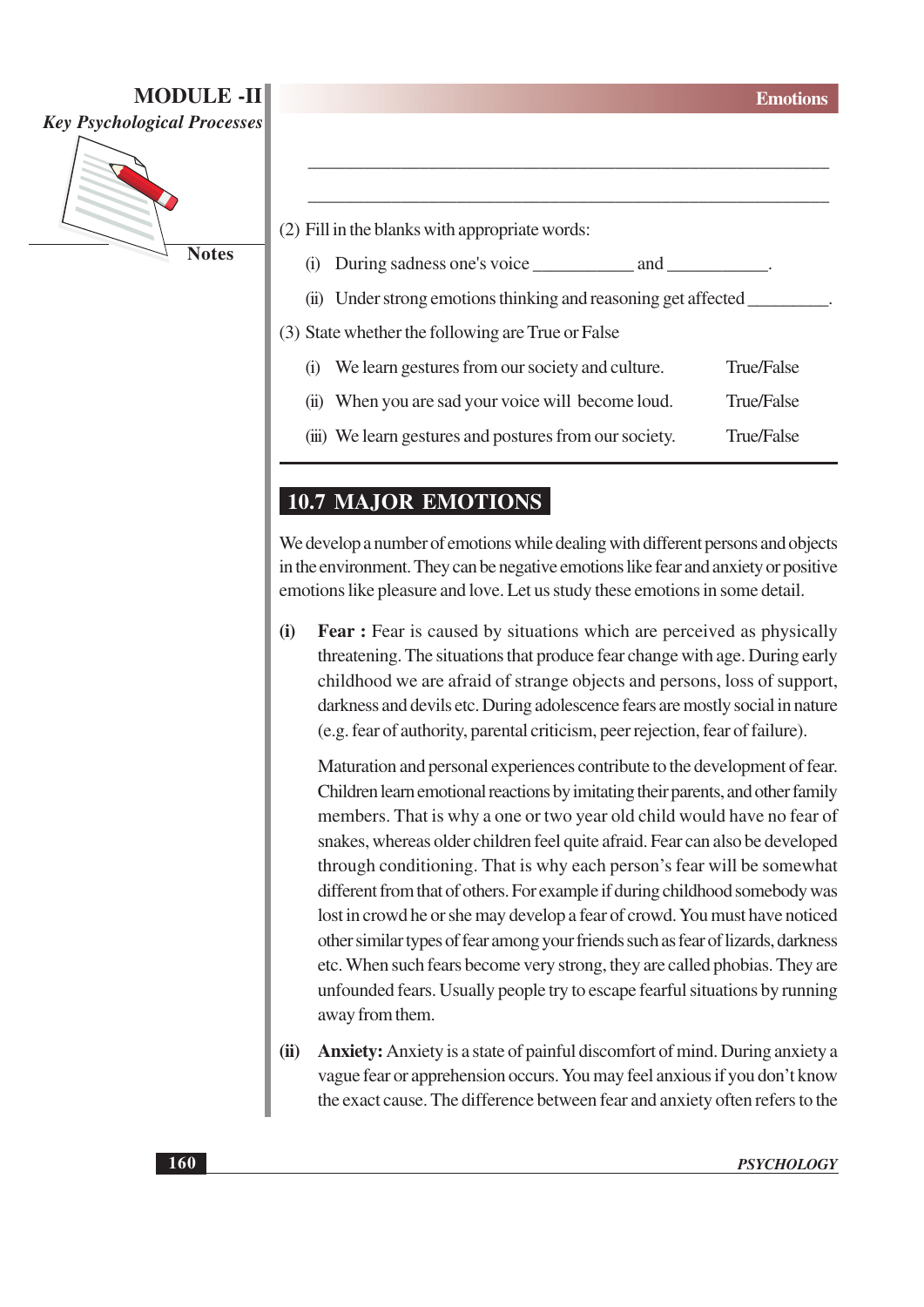**MODULE-II** 

**Key Psychological Processes** 



|                                                   | (2) Fill in the blanks with appropriate words:                 |            |  |
|---------------------------------------------------|----------------------------------------------------------------|------------|--|
| $\left( 1\right)$                                 |                                                                |            |  |
|                                                   | (ii) Under strong emotions thinking and reasoning get affected |            |  |
| (3) State whether the following are True or False |                                                                |            |  |
| $\left( 1 \right)$                                | We learn gestures from our society and culture.                | True/False |  |
|                                                   | (ii) When you are sad your voice will become loud.             | True/False |  |
|                                                   | (iii) We learn gestures and postures from our society.         | True/False |  |

#### **10.7 MAJOR EMOTIONS**

We develop a number of emotions while dealing with different persons and objects in the environment. They can be negative emotions like fear and anxiety or positive emotions like pleasure and love. Let us study these emotions in some detail.

 $(i)$ **Fear:** Fear is caused by situations which are perceived as physically threatening. The situations that produce fear change with age. During early childhood we are afraid of strange objects and persons, loss of support, darkness and devils etc. During adolescence fears are mostly social in nature (e.g. fear of authority, parental criticism, peer rejection, fear of failure).

Maturation and personal experiences contribute to the development of fear. Children learn emotional reactions by imitating their parents, and other family members. That is why a one or two year old child would have no fear of snakes, whereas older children feel quite afraid. Fear can also be developed through conditioning. That is why each person's fear will be somewhat different from that of others. For example if during childhood somebody was lost in crowd he or she may develop a fear of crowd. You must have noticed other similar types of fear among your friends such as fear of lizards, darkness etc. When such fears become very strong, they are called phobias. They are unfounded fears. Usually people try to escape fearful situations by running away from them.

**Anxiety:** Anxiety is a state of painful discomfort of mind. During anxiety a  $(ii)$ vague fear or apprehension occurs. You may feel anxious if you don't know the exact cause. The difference between fear and anxiety often refers to the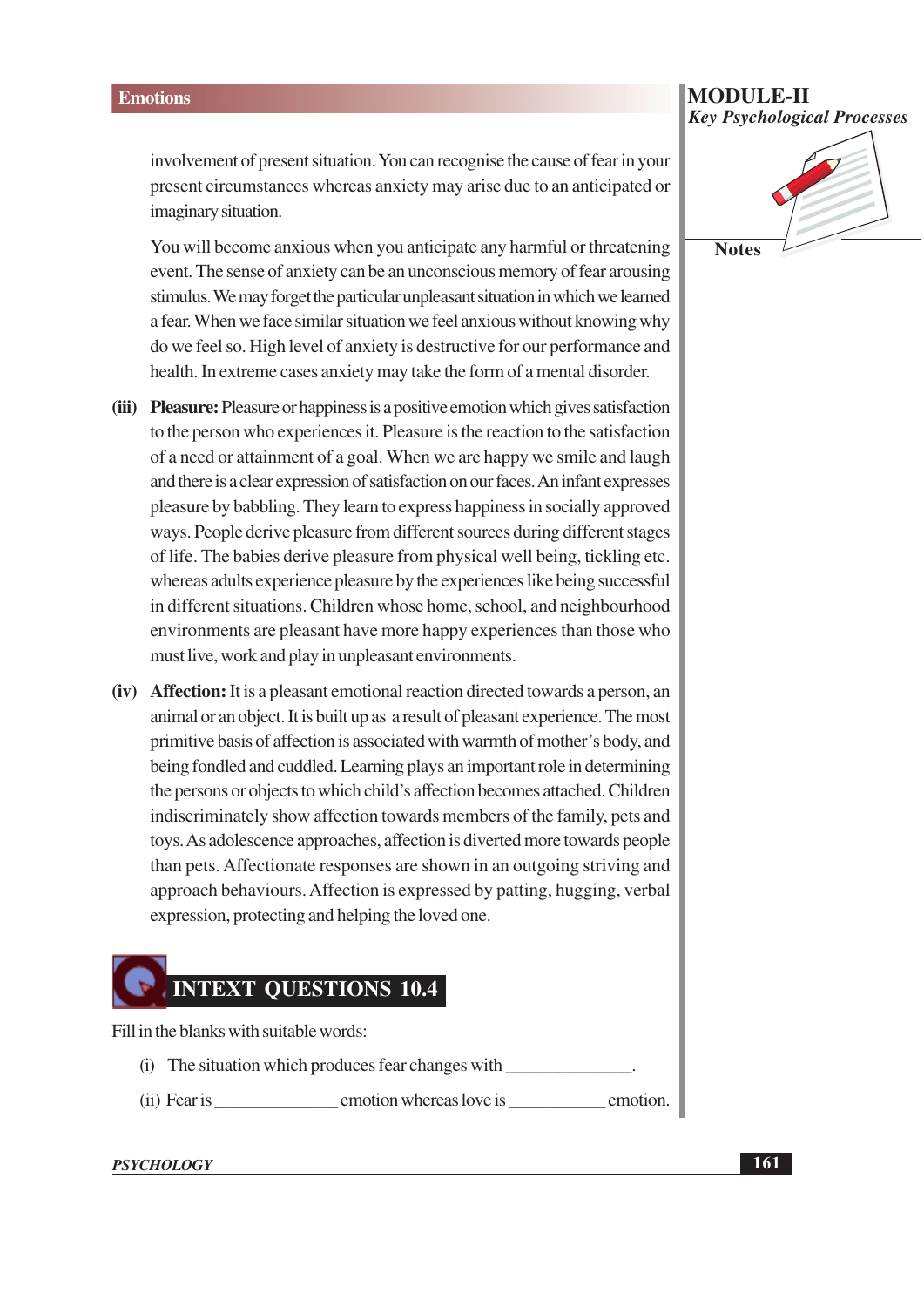involvement of present situation. You can recognise the cause of fear in your present circumstances whereas anxiety may arise due to an anticipated or imaginary situation.

You will become anxious when you anticipate any harmful or threatening event. The sense of anxiety can be an unconscious memory of fear arousing stimulus. We may forget the particular unpleasant situation in which we learned a fear. When we face similar situation we feel anxious without knowing why do we feel so. High level of anxiety is destructive for our performance and health. In extreme cases anxiety may take the form of a mental disorder.

- (iii) Pleasure: Pleasure or happiness is a positive emotion which gives satisfaction to the person who experiences it. Pleasure is the reaction to the satisfaction of a need or attainment of a goal. When we are happy we smile and laugh and there is a clear expression of satisfaction on our faces. An infant expresses pleasure by babbling. They learn to express happiness in socially approved ways. People derive pleasure from different sources during different stages of life. The babies derive pleasure from physical well being, tickling etc. whereas adults experience pleasure by the experiences like being successful in different situations. Children whose home, school, and neighbourhood environments are pleasant have more happy experiences than those who must live, work and play in unpleasant environments.
- (iv) Affection: It is a pleasant emotional reaction directed towards a person, an animal or an object. It is built up as a result of pleasant experience. The most primitive basis of affection is associated with warmth of mother's body, and being fondled and cuddled. Learning plays an important role in determining the persons or objects to which child's affection becomes attached. Children indiscriminately show affection towards members of the family, pets and toys. As adolescence approaches, affection is diverted more towards people than pets. Affectionate responses are shown in an outgoing striving and approach behaviours. Affection is expressed by patting, hugging, verbal expression, protecting and helping the loved one.

## **INTEXT QUESTIONS 10.4**

Fill in the blanks with suitable words:

- (i) The situation which produces fear changes with
- (ii) Fear is emotion whereas love is emotion.

#### **PSYCHOLOGY**

**MODULE-II Key Psychological Processes** 

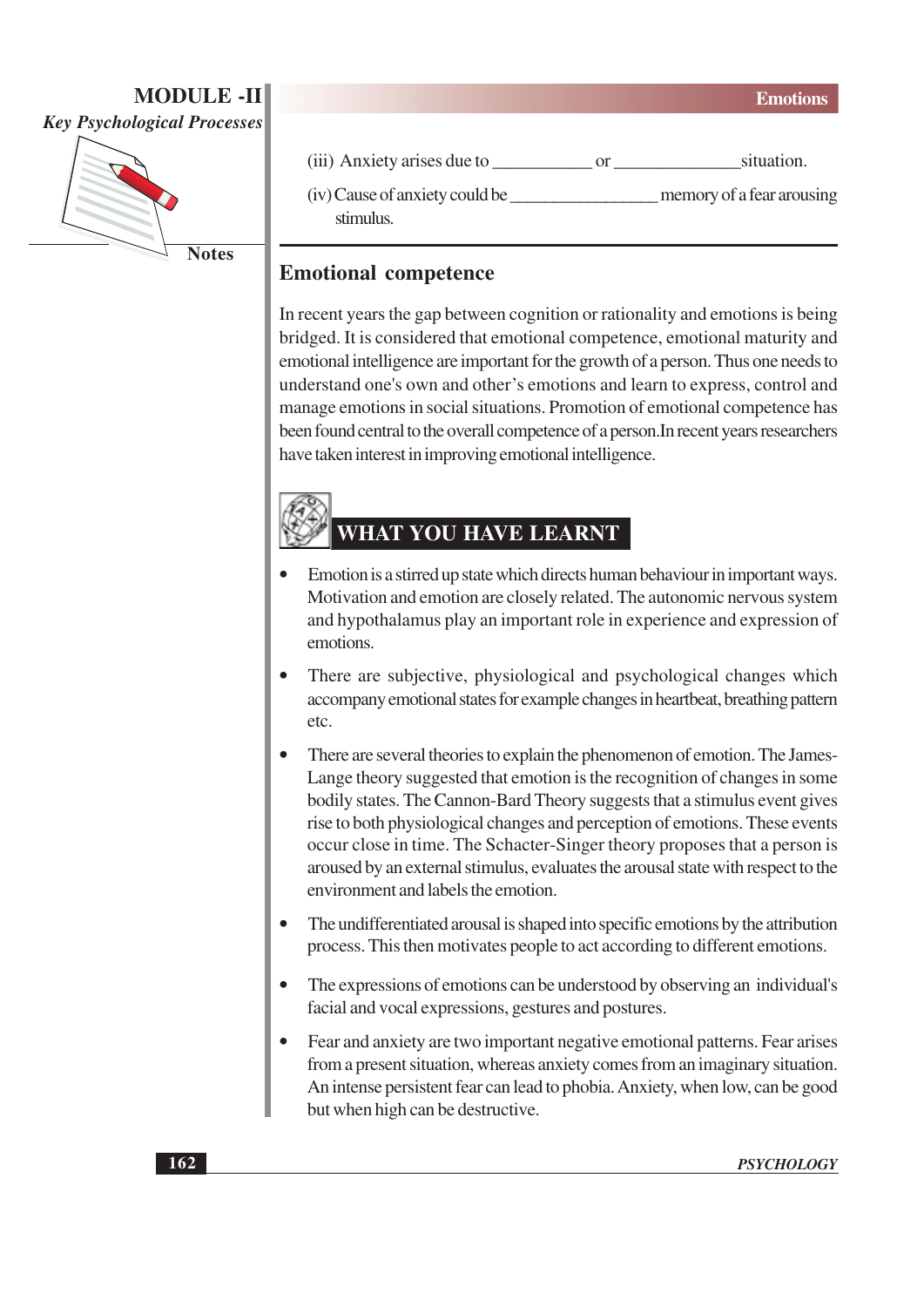

**Notes** 

| (iii) Anxiety arises due to |  | situation. |
|-----------------------------|--|------------|
|-----------------------------|--|------------|

stimulus.

#### **Emotional competence**

In recent years the gap between cognition or rationality and emotions is being bridged. It is considered that emotional competence, emotional maturity and emotional intelligence are important for the growth of a person. Thus one needs to understand one's own and other's emotions and learn to express, control and manage emotions in social situations. Promotion of emotional competence has been found central to the overall competence of a person. In recent years researchers have taken interest in improving emotional intelligence.

### WHAT YOU HAVE LEARNT

- Emotion is a stirred up state which directs human behaviour in important ways. Motivation and emotion are closely related. The autonomic nervous system and hypothalamus play an important role in experience and expression of emotions.
- There are subjective, physiological and psychological changes which accompany emotional states for example changes in heartbeat, breathing pattern etc.
- There are several theories to explain the phenomenon of emotion. The James-Lange theory suggested that emotion is the recognition of changes in some bodily states. The Cannon-Bard Theory suggests that a stimulus event gives rise to both physiological changes and perception of emotions. These events occur close in time. The Schacter-Singer theory proposes that a person is aroused by an external stimulus, evaluates the arousal state with respect to the environment and labels the emotion.
- The undifferentiated arousal is shaped into specific emotions by the attribution process. This then motivates people to act according to different emotions.
- The expressions of emotions can be understood by observing an individual's facial and vocal expressions, gestures and postures.
- Fear and anxiety are two important negative emotional patterns. Fear arises from a present situation, whereas anxiety comes from an imaginary situation. An intense persistent fear can lead to phobia. Anxiety, when low, can be good but when high can be destructive.

**Emotions**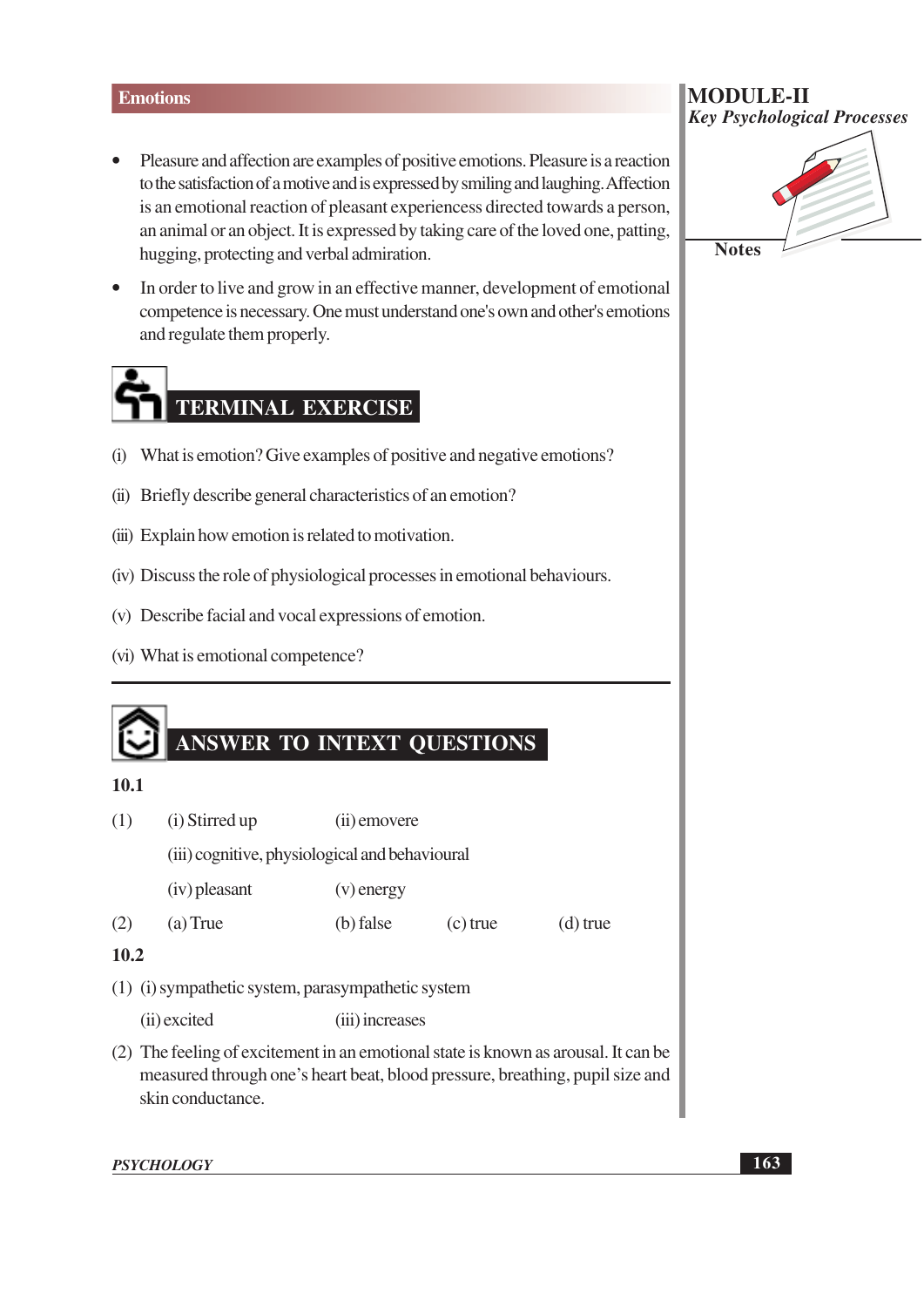#### **Emotions**

- Pleasure and affection are examples of positive emotions. Pleasure is a reaction to the satisfaction of a motive and is expressed by smiling and laughing. Affection is an emotional reaction of pleasant experiencess directed towards a person, an animal or an object. It is expressed by taking care of the loved one, patting, hugging, protecting and verbal admiration.
- In order to live and grow in an effective manner, development of emotional competence is necessary. One must understand one's own and other's emotions and regulate them properly.

## **TERMINAL EXERCISE**

- (i) What is emotion? Give examples of positive and negative emotions?
- (ii) Briefly describe general characteristics of an emotion?
- (iii) Explain how emotion is related to motivation.
- (iv) Discuss the role of physiological processes in emotional behaviours.
- (v) Describe facial and vocal expressions of emotion.
- (vi) What is emotional competence?

#### **ANSWER TO INTEXT QUESTIONS**

#### $10.1$

- $(1)$ (i) Stirred up (ii) emovere (iii) cognitive, physiological and behavioural  $(iv)$  pleasant  $(v)$  energy  $(2)$  $(a)$  True (b) false  $(c)$  true  $(d)$  true  $10.2$ (1) (i) sympathetic system, parasympathetic system (ii) excited (iii) increases (2) The feeling of excitement in an emotional state is known as arousal. It can be
- measured through one's heart beat, blood pressure, breathing, pupil size and skin conductance.

**PSYCHOLOGY** 

#### **MODULE-II Key Psychological Processes**